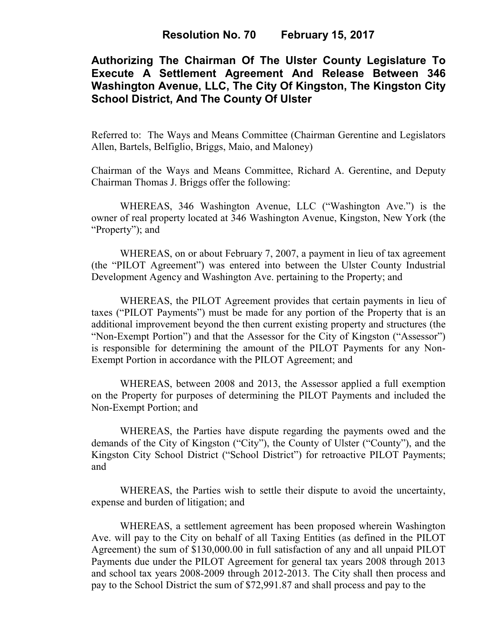## **Resolution No. 70 February 15, 2017**

# **Authorizing The Chairman Of The Ulster County Legislature To Execute A Settlement Agreement And Release Between 346 Washington Avenue, LLC, The City Of Kingston, The Kingston City School District, And The County Of Ulster**

Referred to: The Ways and Means Committee (Chairman Gerentine and Legislators Allen, Bartels, Belfiglio, Briggs, Maio, and Maloney)

Chairman of the Ways and Means Committee, Richard A. Gerentine, and Deputy Chairman Thomas J. Briggs offer the following:

WHEREAS, 346 Washington Avenue, LLC ("Washington Ave.") is the owner of real property located at 346 Washington Avenue, Kingston, New York (the "Property"); and

WHEREAS, on or about February 7, 2007, a payment in lieu of tax agreement (the "PILOT Agreement") was entered into between the Ulster County Industrial Development Agency and Washington Ave. pertaining to the Property; and

WHEREAS, the PILOT Agreement provides that certain payments in lieu of taxes ("PILOT Payments") must be made for any portion of the Property that is an additional improvement beyond the then current existing property and structures (the "Non-Exempt Portion") and that the Assessor for the City of Kingston ("Assessor") is responsible for determining the amount of the PILOT Payments for any Non-Exempt Portion in accordance with the PILOT Agreement; and

WHEREAS, between 2008 and 2013, the Assessor applied a full exemption on the Property for purposes of determining the PILOT Payments and included the Non-Exempt Portion; and

WHEREAS, the Parties have dispute regarding the payments owed and the demands of the City of Kingston ("City"), the County of Ulster ("County"), and the Kingston City School District ("School District") for retroactive PILOT Payments; and

 WHEREAS, the Parties wish to settle their dispute to avoid the uncertainty, expense and burden of litigation; and

WHEREAS, a settlement agreement has been proposed wherein Washington Ave. will pay to the City on behalf of all Taxing Entities (as defined in the PILOT Agreement) the sum of \$130,000.00 in full satisfaction of any and all unpaid PILOT Payments due under the PILOT Agreement for general tax years 2008 through 2013 and school tax years 2008-2009 through 2012-2013. The City shall then process and pay to the School District the sum of \$72,991.87 and shall process and pay to the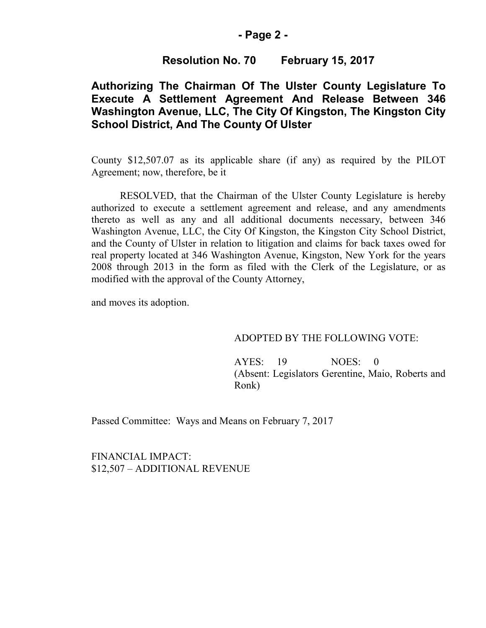### **- Page 2 -**

### **Resolution No. 70 February 15, 2017**

## **Authorizing The Chairman Of The Ulster County Legislature To Execute A Settlement Agreement And Release Between 346 Washington Avenue, LLC, The City Of Kingston, The Kingston City School District, And The County Of Ulster**

County \$12,507.07 as its applicable share (if any) as required by the PILOT Agreement; now, therefore, be it

RESOLVED, that the Chairman of the Ulster County Legislature is hereby authorized to execute a settlement agreement and release, and any amendments thereto as well as any and all additional documents necessary, between 346 Washington Avenue, LLC, the City Of Kingston, the Kingston City School District, and the County of Ulster in relation to litigation and claims for back taxes owed for real property located at 346 Washington Avenue, Kingston, New York for the years 2008 through 2013 in the form as filed with the Clerk of the Legislature, or as modified with the approval of the County Attorney,

and moves its adoption.

#### ADOPTED BY THE FOLLOWING VOTE:

AYES: 19 NOES: 0 (Absent: Legislators Gerentine, Maio, Roberts and Ronk)

Passed Committee: Ways and Means on February 7, 2017

FINANCIAL IMPACT: \$12,507 – ADDITIONAL REVENUE